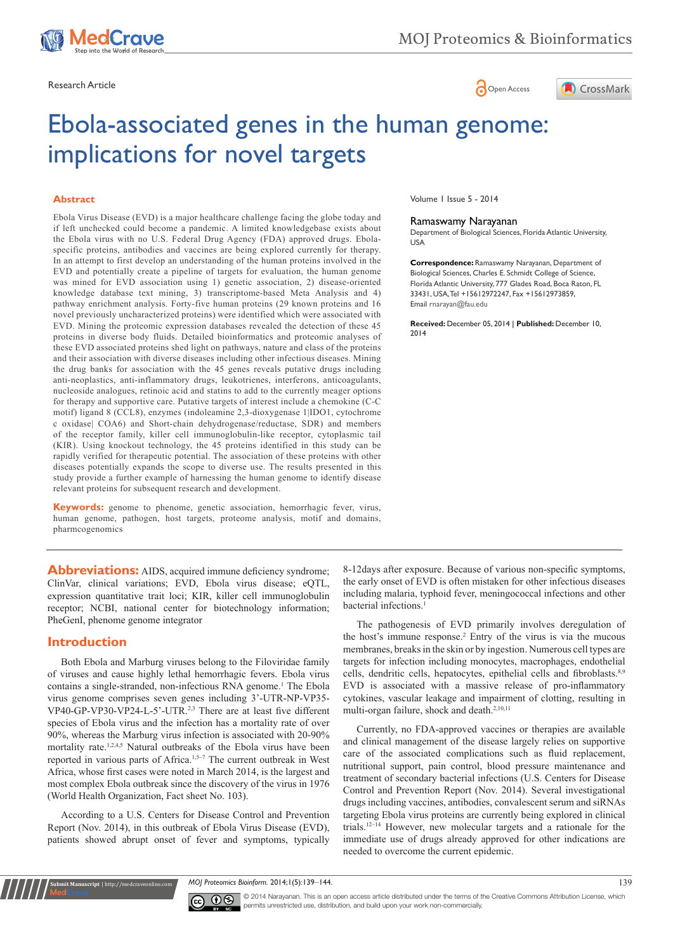





# Ebola-associated genes in the human genome: implications for novel targets

#### **Abstract**

Ebola Virus Disease (EVD) is a major healthcare challenge facing the globe today and if left unchecked could become a pandemic. A limited knowledgebase exists about the Ebola virus with no U.S. Federal Drug Agency (FDA) approved drugs. Ebolaspecific proteins, antibodies and vaccines are being explored currently for therapy. In an attempt to first develop an understanding of the human proteins involved in the EVD and potentially create a pipeline of targets for evaluation, the human genome was mined for EVD association using 1) genetic association, 2) disease-oriented knowledge database text mining, 3) transcriptome-based Meta Analysis and 4) pathway enrichment analysis. Forty-five human proteins (29 known proteins and 16 novel previously uncharacterized proteins) were identified which were associated with EVD. Mining the proteomic expression databases revealed the detection of these 45 proteins in diverse body fluids. Detailed bioinformatics and proteomic analyses of these EVD associated proteins shed light on pathways, nature and class of the proteins and their association with diverse diseases including other infectious diseases. Mining the drug banks for association with the 45 genes reveals putative drugs including anti-neoplastics, anti-inflammatory drugs, leukotrienes, interferons, anticoagulants, nucleoside analogues, retinoic acid and statins to add to the currently meager options for therapy and supportive care. Putative targets of interest include a chemokine (C-C motif) ligand 8 (CCL8), enzymes (indoleamine 2,3-dioxygenase 1|IDO1, cytochrome c oxidase| COA6) and Short-chain dehydrogenase/reductase, SDR) and members of the receptor family, killer cell immunoglobulin-like receptor, cytoplasmic tail (KIR). Using knockout technology, the 45 proteins identified in this study can be rapidly verified for therapeutic potential. The association of these proteins with other diseases potentially expands the scope to diverse use. The results presented in this study provide a further example of harnessing the human genome to identify disease relevant proteins for subsequent research and development.

**Keywords:** genome to phenome, genetic association, hemorrhagic fever, virus, human genome, pathogen, host targets, proteome analysis, motif and domains, pharmcogenomics

Abbreviations: AIDS, acquired immune deficiency syndrome; ClinVar, clinical variations; EVD, Ebola virus disease; eQTL, expression quantitative trait loci; KIR, killer cell immunoglobulin receptor; NCBI, national center for biotechnology information; PheGenI, phenome genome integrator

#### **Introduction**

**it Manuscript** | http://medcraveonline

Both Ebola and Marburg viruses belong to the Filoviridae family of viruses and cause highly lethal hemorrhagic fevers. Ebola virus contains a single-stranded, non-infectious RNA genome.<sup>1</sup> The Ebola virus genome comprises seven genes including 3'-UTR-NP-VP35- VP40-GP-VP30-VP24-L-5'-UTR.2,3 There are at least five different species of Ebola virus and the infection has a mortality rate of over 90%, whereas the Marburg virus infection is associated with 20-90% mortality rate.<sup>1,2,4,5</sup> Natural outbreaks of the Ebola virus have been reported in various parts of Africa.<sup>1,5–7</sup> The current outbreak in West Africa, whose first cases were noted in March 2014, is the largest and most complex Ebola outbreak since the discovery of the virus in 1976 (World Health Organization, Fact sheet No. 103).

According to a U.S. Centers for Disease Control and Prevention Report (Nov. 2014), in this outbreak of Ebola Virus Disease (EVD), patients showed abrupt onset of fever and symptoms, typically

Volume 1 Issue 5 - 2014

#### Ramaswamy Narayanan

Department of Biological Sciences, Florida Atlantic University, USA

**Correspondence:** Ramaswamy Narayanan, Department of Biological Sciences, Charles E. Schmidt College of Science, Florida Atlantic University, 777 Glades Road, Boca Raton, FL 33431, USA, Tel +15612972247, Fax +15612973859, Email rnarayan@fau.edu

**Received:** December 05, 2014 | **Published:** December 10, 2014

8-12days after exposure. Because of various non-specific symptoms, the early onset of EVD is often mistaken for other infectious diseases including malaria, typhoid fever, meningococcal infections and other bacterial infections.<sup>1</sup>

The pathogenesis of EVD primarily involves deregulation of the host's immune response.2 Entry of the virus is via the mucous membranes, breaks in the skin or by ingestion. Numerous cell types are targets for infection including monocytes, macrophages, endothelial cells, dendritic cells, hepatocytes, epithelial cells and fibroblasts.<sup>8,9</sup> EVD is associated with a massive release of pro-inflammatory cytokines, vascular leakage and impairment of clotting, resulting in multi-organ failure, shock and death.<sup>2,10,11</sup>

Currently, no FDA-approved vaccines or therapies are available and clinical management of the disease largely relies on supportive care of the associated complications such as fluid replacement, nutritional support, pain control, blood pressure maintenance and treatment of secondary bacterial infections (U.S. Centers for Disease Control and Prevention Report (Nov. 2014). Several investigational drugs including vaccines, antibodies, convalescent serum and siRNAs targeting Ebola virus proteins are currently being explored in clinical trials.12–14 However, new molecular targets and a rationale for the immediate use of drugs already approved for other indications are needed to overcome the current epidemic.

*MOJ Proteomics Bioinform.* 2014;1(5):139‒144. 139



© 2014 Narayanan. This is an open access article distributed under the terms of the [Creative Commons Attribution License,](https://creativecommons.org/licenses/by-nc/4.0/) which permits unrestricted use, distribution, and build upon your work non-commercially.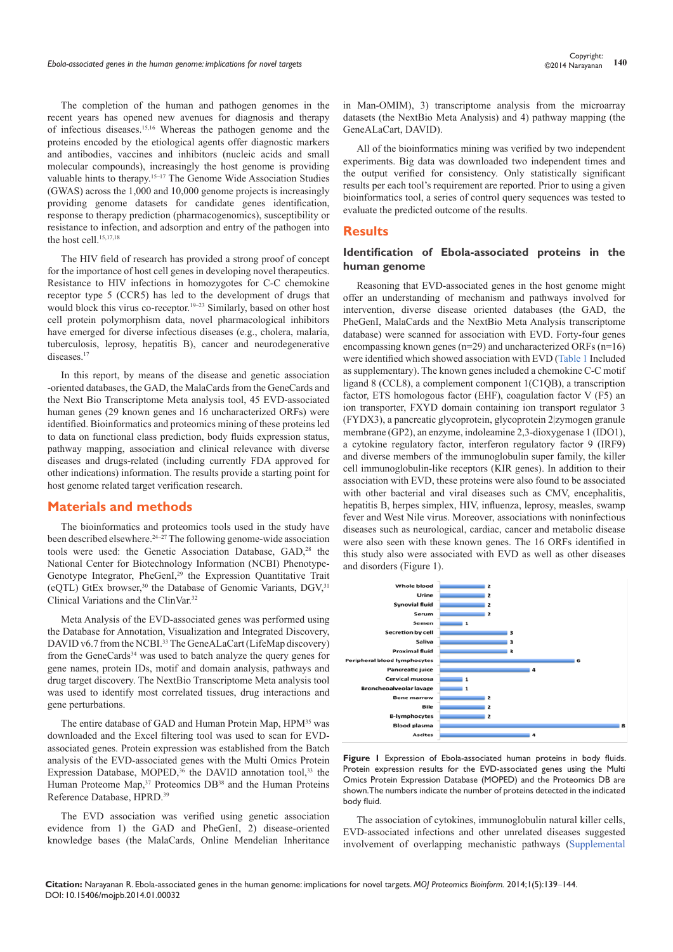The completion of the human and pathogen genomes in the recent years has opened new avenues for diagnosis and therapy of infectious diseases.15,16 Whereas the pathogen genome and the proteins encoded by the etiological agents offer diagnostic markers and antibodies, vaccines and inhibitors (nucleic acids and small molecular compounds), increasingly the host genome is providing valuable hints to therapy.<sup>15–17</sup> The Genome Wide Association Studies (GWAS) across the 1,000 and 10,000 genome projects is increasingly providing genome datasets for candidate genes identification, response to therapy prediction (pharmacogenomics), susceptibility or resistance to infection, and adsorption and entry of the pathogen into the host cell.<sup>15,17,18</sup>

The HIV field of research has provided a strong proof of concept for the importance of host cell genes in developing novel therapeutics. Resistance to HIV infections in homozygotes for C-C chemokine receptor type 5 (CCR5) has led to the development of drugs that would block this virus co-receptor.<sup>19–23</sup> Similarly, based on other host cell protein polymorphism data, novel pharmacological inhibitors have emerged for diverse infectious diseases (e.g., cholera, malaria, tuberculosis, leprosy, hepatitis B), cancer and neurodegenerative diseases.<sup>17</sup>

In this report, by means of the disease and genetic association -oriented databases, the GAD, the MalaCards from the GeneCards and the Next Bio Transcriptome Meta analysis tool, 45 EVD-associated human genes (29 known genes and 16 uncharacterized ORFs) were identified. Bioinformatics and proteomics mining of these proteins led to data on functional class prediction, body fluids expression status, pathway mapping, association and clinical relevance with diverse diseases and drugs-related (including currently FDA approved for other indications) information. The results provide a starting point for host genome related target verification research.

#### **Materials and methods**

The bioinformatics and proteomics tools used in the study have been described elsewhere.24–27 The following genome-wide association tools were used: the Genetic Association Database, GAD,<sup>28</sup> the National Center for Biotechnology Information (NCBI) Phenotype-Genotype Integrator, PheGenI,<sup>29</sup> the Expression Quantitative Trait (eQTL) GtEx browser,<sup>30</sup> the Database of Genomic Variants, DGV,<sup>31</sup> Clinical Variations and the ClinVar.32

Meta Analysis of the EVD-associated genes was performed using the Database for Annotation, Visualization and Integrated Discovery, DAVID v6.7 from the NCBI.<sup>33</sup> The GeneALaCart (LifeMap discovery) from the GeneCards<sup>34</sup> was used to batch analyze the query genes for gene names, protein IDs, motif and domain analysis, pathways and drug target discovery. The NextBio Transcriptome Meta analysis tool was used to identify most correlated tissues, drug interactions and gene perturbations.

The entire database of GAD and Human Protein Map, HPM<sup>35</sup> was downloaded and the Excel filtering tool was used to scan for EVDassociated genes. Protein expression was established from the Batch analysis of the EVD-associated genes with the Multi Omics Protein Expression Database, MOPED,<sup>36</sup> the DAVID annotation tool,<sup>33</sup> the Human Proteome Map,<sup>37</sup> Proteomics DB<sup>38</sup> and the Human Proteins Reference Database, HPRD.39

The EVD association was verified using genetic association evidence from 1) the GAD and PheGenI, 2) disease-oriented knowledge bases (the MalaCards, Online Mendelian Inheritance in Man-OMIM), 3) transcriptome analysis from the microarray datasets (the NextBio Meta Analysis) and 4) pathway mapping (the GeneALaCart, DAVID).

All of the bioinformatics mining was verified by two independent experiments. Big data was downloaded two independent times and the output verified for consistency. Only statistically significant results per each tool's requirement are reported. Prior to using a given bioinformatics tool, a series of control query sequences was tested to evaluate the predicted outcome of the results.

#### **Results**

#### **Identification of Ebola-associated proteins in the human genome**

Reasoning that EVD-associated genes in the host genome might offer an understanding of mechanism and pathways involved for intervention, diverse disease oriented databases (the GAD, the PheGenI, MalaCards and the NextBio Meta Analysis transcriptome database) were scanned for association with EVD. Forty-four genes encompassing known genes (n=29) and uncharacterized ORFs (n=16) were identified which showed association with EVD [\(Table 1](https://medcraveonline.com/MOJPB/MOJPB-01-00032s.zip) Included as supplementary). The known genes included a chemokine C-C motif ligand 8 (CCL8), a complement component 1(C1QB), a transcription factor, ETS homologous factor (EHF), coagulation factor V (F5) an ion transporter, FXYD domain containing ion transport regulator 3 (FYDX3), a pancreatic glycoprotein, glycoprotein 2|zymogen granule membrane (GP2), an enzyme, indoleamine 2,3-dioxygenase 1 (IDO1), a cytokine regulatory factor, interferon regulatory factor 9 (IRF9) and diverse members of the immunoglobulin super family, the killer cell immunoglobulin-like receptors (KIR genes). In addition to their association with EVD, these proteins were also found to be associated with other bacterial and viral diseases such as CMV, encephalitis, hepatitis B, herpes simplex, HIV, influenza, leprosy, measles, swamp fever and West Nile virus. Moreover, associations with noninfectious diseases such as neurological, cardiac, cancer and metabolic disease were also seen with these known genes. The 16 ORFs identified in this study also were associated with EVD as well as other diseases and disorders (Figure 1).



**Figure 1** Expression of Ebola-associated human proteins in body fluids. Protein expression results for the EVD-associated genes using the Multi Omics Protein Expression Database (MOPED) and the Proteomics DB are shown. The numbers indicate the number of proteins detected in the indicated body fluid.

The association of cytokines, immunoglobulin natural killer cells, EVD-associated infections and other unrelated diseases suggested involvement of overlapping mechanistic pathways ([Supplemental](https://medcraveonline.com/MOJPB/MOJPB-01-00032s.zip)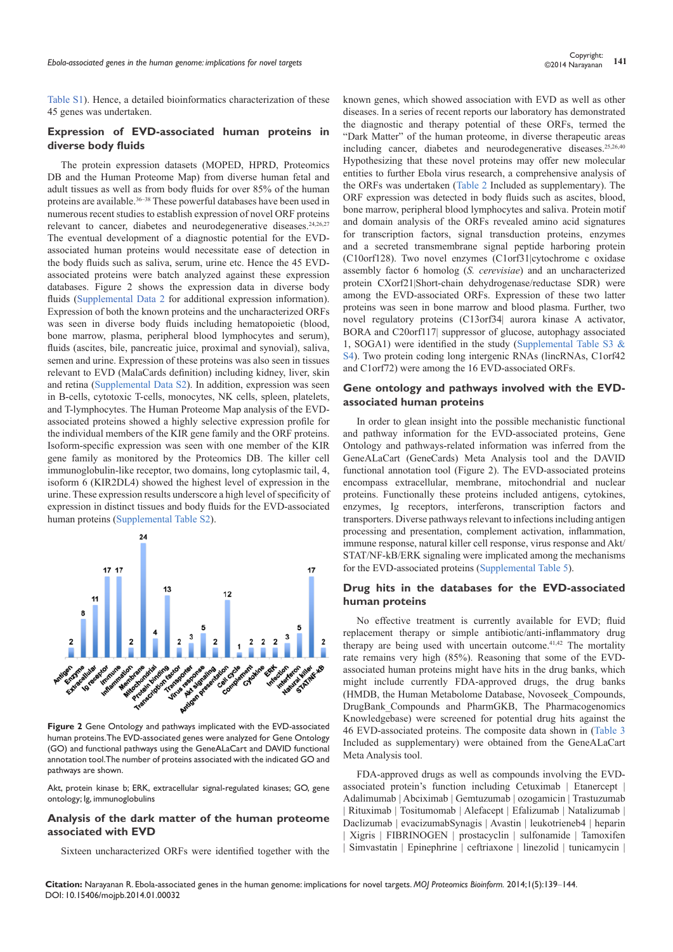[Table S1](https://medcraveonline.com/MOJPB/MOJPB-01-00032s.zip)). Hence, a detailed bioinformatics characterization of these 45 genes was undertaken.

#### **Expression of EVD-associated human proteins in diverse body fluids**

The protein expression datasets (MOPED, HPRD, Proteomics DB and the Human Proteome Map) from diverse human fetal and adult tissues as well as from body fluids for over 85% of the human proteins are available.<sup>36-38</sup> These powerful databases have been used in numerous recent studies to establish expression of novel ORF proteins relevant to cancer, diabetes and neurodegenerative diseases.<sup>24,26,27</sup> The eventual development of a diagnostic potential for the EVDassociated human proteins would necessitate ease of detection in the body fluids such as saliva, serum, urine etc. Hence the 45 EVDassociated proteins were batch analyzed against these expression databases. Figure 2 shows the expression data in diverse body fluids [\(Supplemental Data 2](https://medcraveonline.com/MOJPB/MOJPB-01-00032s.zip) for additional expression information). Expression of both the known proteins and the uncharacterized ORFs was seen in diverse body fluids including hematopoietic (blood, bone marrow, plasma, peripheral blood lymphocytes and serum), fluids (ascites, bile, pancreatic juice, proximal and synovial), saliva, semen and urine. Expression of these proteins was also seen in tissues relevant to EVD (MalaCards definition) including kidney, liver, skin and retina ([Supplemental Data S2](https://medcraveonline.com/MOJPB/MOJPB-01-00032s.zip)). In addition, expression was seen in B-cells, cytotoxic T-cells, monocytes, NK cells, spleen, platelets, and T-lymphocytes. The Human Proteome Map analysis of the EVDassociated proteins showed a highly selective expression profile for the individual members of the KIR gene family and the ORF proteins. Isoform-specific expression was seen with one member of the KIR gene family as monitored by the Proteomics DB. The killer cell immunoglobulin-like receptor, two domains, long cytoplasmic tail, 4, isoform 6 (KIR2DL4) showed the highest level of expression in the urine. These expression results underscore a high level of specificity of expression in distinct tissues and body fluids for the EVD-associated human proteins ([Supplemental Table S2](https://medcraveonline.com/MOJPB/MOJPB-01-00032s.zip)).



**Figure 2** Gene Ontology and pathways implicated with the EVD-associated human proteins. The EVD-associated genes were analyzed for Gene Ontology (GO) and functional pathways using the GeneALaCart and DAVID functional annotation tool. The number of proteins associated with the indicated GO and pathways are shown.

Akt, protein kinase b; ERK, extracellular signal-regulated kinases; GO, gene ontology; Ig, immunoglobulins

#### **Analysis of the dark matter of the human proteome associated with EVD**

Sixteen uncharacterized ORFs were identified together with the

known genes, which showed association with EVD as well as other diseases. In a series of recent reports our laboratory has demonstrated the diagnostic and therapy potential of these ORFs, termed the "Dark Matter" of the human proteome, in diverse therapeutic areas including cancer, diabetes and neurodegenerative diseases.25,26,40 Hypothesizing that these novel proteins may offer new molecular entities to further Ebola virus research, a comprehensive analysis of the ORFs was undertaken ([Table 2](https://medcraveonline.com/MOJPB/MOJPB-01-00032s.zip) Included as supplementary). The ORF expression was detected in body fluids such as ascites, blood, bone marrow, peripheral blood lymphocytes and saliva. Protein motif and domain analysis of the ORFs revealed amino acid signatures for transcription factors, signal transduction proteins, enzymes and a secreted transmembrane signal peptide harboring protein (C10orf128). Two novel enzymes (C1orf31|cytochrome c oxidase assembly factor 6 homolog (*S. cerevisiae*) and an uncharacterized protein CXorf21|Short-chain dehydrogenase/reductase SDR) were among the EVD-associated ORFs. Expression of these two latter proteins was seen in bone marrow and blood plasma. Further, two novel regulatory proteins (C13orf34| aurora kinase A activator, BORA and C20orf117| suppressor of glucose, autophagy associated 1, SOGA1) were identified in the study (Supplemental Table S3  $\&$ [S4](https://medcraveonline.com/MOJPB/MOJPB-01-00032s.zip)). Two protein coding long intergenic RNAs (lincRNAs, C1orf42 and C1orf72) were among the 16 EVD-associated ORFs.

#### **Gene ontology and pathways involved with the EVDassociated human proteins**

In order to glean insight into the possible mechanistic functional and pathway information for the EVD-associated proteins, Gene Ontology and pathways-related information was inferred from the GeneALaCart (GeneCards) Meta Analysis tool and the DAVID functional annotation tool (Figure 2). The EVD-associated proteins encompass extracellular, membrane, mitochondrial and nuclear proteins. Functionally these proteins included antigens, cytokines, enzymes, Ig receptors, interferons, transcription factors and transporters. Diverse pathways relevant to infections including antigen processing and presentation, complement activation, inflammation, immune response, natural killer cell response, virus response and Akt/ STAT/NF-kB/ERK signaling were implicated among the mechanisms for the EVD-associated proteins ([Supplemental Table 5\)](https://medcraveonline.com/MOJPB/MOJPB-01-00032s.zip).

#### **Drug hits in the databases for the EVD-associated human proteins**

No effective treatment is currently available for EVD; fluid replacement therapy or simple antibiotic/anti-inflammatory drug therapy are being used with uncertain outcome.<sup>41,42</sup> The mortality rate remains very high (85%). Reasoning that some of the EVDassociated human proteins might have hits in the drug banks, which might include currently FDA-approved drugs, the drug banks (HMDB, the Human Metabolome Database, Novoseek\_Compounds, DrugBank\_Compounds and PharmGKB, The Pharmacogenomics Knowledgebase) were screened for potential drug hits against the 46 EVD-associated proteins. The composite data shown in ([Table 3](https://medcraveonline.com/MOJPB/MOJPB-01-00032s.zip) Included as supplementary) were obtained from the GeneALaCart Meta Analysis tool.

FDA-approved drugs as well as compounds involving the EVDassociated protein's function including Cetuximab | Etanercept | Adalimumab | Abciximab | Gemtuzumab | ozogamicin | Trastuzumab | Rituximab | Tositumomab | Alefacept | Efalizumab | Natalizumab | Daclizumab | evacizumabSynagis | Avastin | leukotrieneb4 | heparin | Xigris | FIBRINOGEN | prostacyclin | sulfonamide | Tamoxifen | Simvastatin | Epinephrine | ceftriaxone | linezolid | tunicamycin |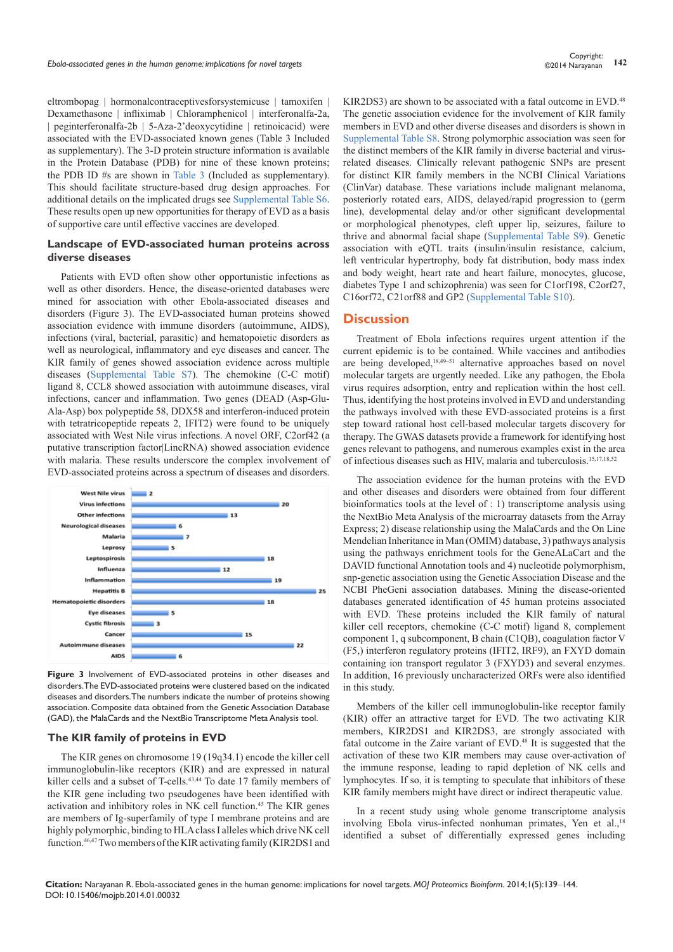eltrombopag | hormonalcontraceptivesforsystemicuse | tamoxifen | Dexamethasone | infliximab | Chloramphenicol | interferonalfa-2a, | peginterferonalfa-2b | 5-Aza-2'deoxycytidine | retinoicacid) were associated with the EVD-associated known genes (Table 3 Included as supplementary). The 3-D protein structure information is available in the Protein Database (PDB) for nine of these known proteins; the PDB ID #s are shown in [Table 3](https://medcraveonline.com/MOJPB/MOJPB-01-00032s.zip) (Included as supplementary). This should facilitate structure-based drug design approaches. For additional details on the implicated drugs see [Supplemental Table S6](https://medcraveonline.com/MOJPB/MOJPB-01-00032s.zip). These results open up new opportunities for therapy of EVD as a basis of supportive care until effective vaccines are developed.

#### **Landscape of EVD-associated human proteins across diverse diseases**

Patients with EVD often show other opportunistic infections as well as other disorders. Hence, the disease-oriented databases were mined for association with other Ebola-associated diseases and disorders (Figure 3). The EVD-associated human proteins showed association evidence with immune disorders (autoimmune, AIDS), infections (viral, bacterial, parasitic) and hematopoietic disorders as well as neurological, inflammatory and eye diseases and cancer. The KIR family of genes showed association evidence across multiple diseases [\(Supplemental Table S7](https://medcraveonline.com/MOJPB/MOJPB-01-00032s.zip)). The chemokine (C-C motif) ligand 8, CCL8 showed association with autoimmune diseases, viral infections, cancer and inflammation. Two genes (DEAD (Asp-Glu-Ala-Asp) box polypeptide 58, DDX58 and interferon-induced protein with tetratricopeptide repeats 2, IFIT2) were found to be uniquely associated with West Nile virus infections. A novel ORF, C2orf42 (a putative transcription factor|LincRNA) showed association evidence with malaria. These results underscore the complex involvement of EVD-associated proteins across a spectrum of diseases and disorders.



**Figure 3** Involvement of EVD-associated proteins in other diseases and disorders. The EVD-associated proteins were clustered based on the indicated diseases and disorders. The numbers indicate the number of proteins showing association. Composite data obtained from the Genetic Association Database (GAD), the MalaCards and the NextBio Transcriptome Meta Analysis tool.

#### **The KIR family of proteins in EVD**

The KIR genes on chromosome 19 (19q34.1) encode the killer cell immunoglobulin-like receptors (KIR) and are expressed in natural killer cells and a subset of T-cells.<sup>43,44</sup> To date 17 family members of the KIR gene including two pseudogenes have been identified with activation and inhibitory roles in NK cell function.45 The KIR genes are members of Ig-superfamily of type I membrane proteins and are highly polymorphic, binding to HLA class I alleles which drive NK cell function.46,47 Two members of the KIR activating family (KIR2DS1 and

KIR2DS3) are shown to be associated with a fatal outcome in EVD.<sup>48</sup> The genetic association evidence for the involvement of KIR family members in EVD and other diverse diseases and disorders is shown in [Supplemental Table S8.](https://medcraveonline.com/MOJPB/MOJPB-01-00032s.zip) Strong polymorphic association was seen for the distinct members of the KIR family in diverse bacterial and virusrelated diseases. Clinically relevant pathogenic SNPs are present for distinct KIR family members in the NCBI Clinical Variations (ClinVar) database. These variations include malignant melanoma, posteriorly rotated ears, AIDS, delayed/rapid progression to (germ line), developmental delay and/or other significant developmental or morphological phenotypes, cleft upper lip, seizures, failure to thrive and abnormal facial shape ([Supplemental Table S9\)](https://medcraveonline.com/MOJPB/MOJPB-01-00032s.zip). Genetic association with eQTL traits (insulin/insulin resistance, calcium, left ventricular hypertrophy, body fat distribution, body mass index and body weight, heart rate and heart failure, monocytes, glucose, diabetes Type 1 and schizophrenia) was seen for C1orf198, C2orf27, C16orf72, C21orf88 and GP2 ([Supplemental Table S10\)](https://medcraveonline.com/MOJPB/MOJPB-01-00032s.zip).

#### **Discussion**

Treatment of Ebola infections requires urgent attention if the current epidemic is to be contained. While vaccines and antibodies are being developed,18,49–51 alternative approaches based on novel molecular targets are urgently needed. Like any pathogen, the Ebola virus requires adsorption, entry and replication within the host cell. Thus, identifying the host proteins involved in EVD and understanding the pathways involved with these EVD-associated proteins is a first step toward rational host cell-based molecular targets discovery for therapy. The GWAS datasets provide a framework for identifying host genes relevant to pathogens, and numerous examples exist in the area of infectious diseases such as HIV, malaria and tuberculosis.15,17,18,52

The association evidence for the human proteins with the EVD and other diseases and disorders were obtained from four different bioinformatics tools at the level of : 1) transcriptome analysis using the NextBio Meta Analysis of the microarray datasets from the Array Express; 2) disease relationship using the MalaCards and the On Line Mendelian Inheritance in Man (OMIM) database, 3) pathways analysis using the pathways enrichment tools for the GeneALaCart and the DAVID functional Annotation tools and 4) nucleotide polymorphism, snp-genetic association using the Genetic Association Disease and the NCBI PheGeni association databases. Mining the disease-oriented databases generated identification of 45 human proteins associated with EVD. These proteins included the KIR family of natural killer cell receptors, chemokine (C-C motif) ligand 8, complement component 1, q subcomponent, B chain (C1QB), coagulation factor V (F5,) interferon regulatory proteins (IFIT2, IRF9), an FXYD domain containing ion transport regulator 3 (FXYD3) and several enzymes. In addition, 16 previously uncharacterized ORFs were also identified in this study.

Members of the killer cell immunoglobulin-like receptor family (KIR) offer an attractive target for EVD. The two activating KIR members, KIR2DS1 and KIR2DS3, are strongly associated with fatal outcome in the Zaire variant of EVD.<sup>48</sup> It is suggested that the activation of these two KIR members may cause over-activation of the immune response, leading to rapid depletion of NK cells and lymphocytes. If so, it is tempting to speculate that inhibitors of these KIR family members might have direct or indirect therapeutic value.

In a recent study using whole genome transcriptome analysis involving Ebola virus-infected nonhuman primates, Yen et al.,<sup>18</sup> identified a subset of differentially expressed genes including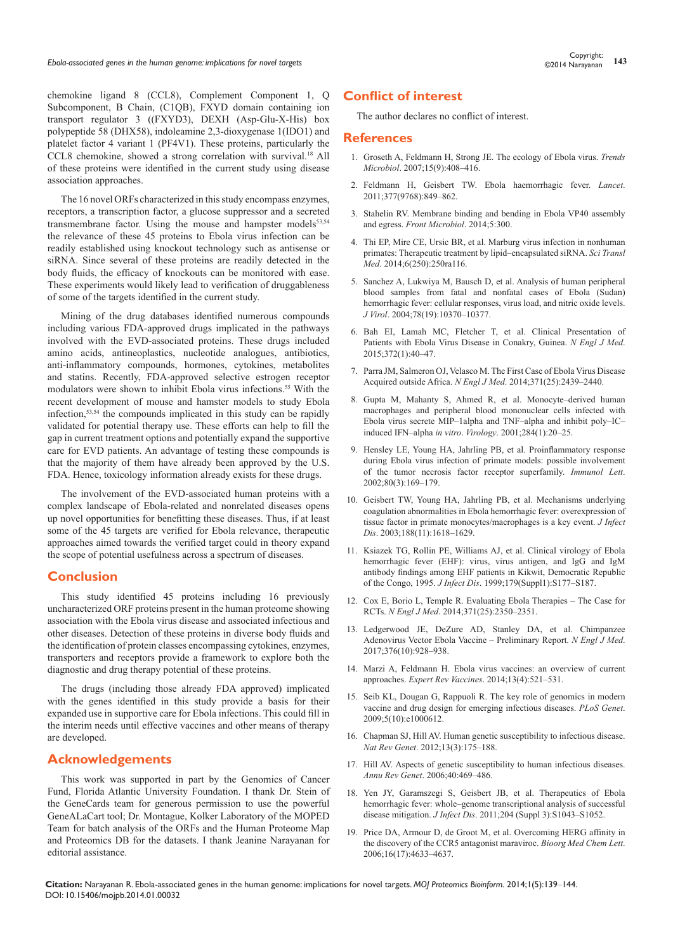chemokine ligand 8 (CCL8), Complement Component 1, Q Subcomponent, B Chain, (C1QB), FXYD domain containing ion transport regulator 3 ((FXYD3), DEXH (Asp-Glu-X-His) box polypeptide 58 (DHX58), indoleamine 2,3-dioxygenase 1(IDO1) and platelet factor 4 variant 1 (PF4V1). These proteins, particularly the CCL8 chemokine, showed a strong correlation with survival.18 All of these proteins were identified in the current study using disease association approaches.

The 16 novel ORFs characterized in this study encompass enzymes, receptors, a transcription factor, a glucose suppressor and a secreted transmembrane factor. Using the mouse and hampster models<sup>53,54</sup> the relevance of these 45 proteins to Ebola virus infection can be readily established using knockout technology such as antisense or siRNA. Since several of these proteins are readily detected in the body fluids, the efficacy of knockouts can be monitored with ease. These experiments would likely lead to verification of druggableness of some of the targets identified in the current study.

Mining of the drug databases identified numerous compounds including various FDA-approved drugs implicated in the pathways involved with the EVD-associated proteins. These drugs included amino acids, antineoplastics, nucleotide analogues, antibiotics, anti-inflammatory compounds, hormones, cytokines, metabolites and statins. Recently, FDA-approved selective estrogen receptor modulators were shown to inhibit Ebola virus infections.55 With the recent development of mouse and hamster models to study Ebola infection,53,54 the compounds implicated in this study can be rapidly validated for potential therapy use. These efforts can help to fill the gap in current treatment options and potentially expand the supportive care for EVD patients. An advantage of testing these compounds is that the majority of them have already been approved by the U.S. FDA. Hence, toxicology information already exists for these drugs.

The involvement of the EVD-associated human proteins with a complex landscape of Ebola-related and nonrelated diseases opens up novel opportunities for benefitting these diseases. Thus, if at least some of the 45 targets are verified for Ebola relevance, therapeutic approaches aimed towards the verified target could in theory expand the scope of potential usefulness across a spectrum of diseases.

### **Conclusion**

This study identified 45 proteins including 16 previously uncharacterized ORF proteins present in the human proteome showing association with the Ebola virus disease and associated infectious and other diseases. Detection of these proteins in diverse body fluids and the identification of protein classes encompassing cytokines, enzymes, transporters and receptors provide a framework to explore both the diagnostic and drug therapy potential of these proteins.

The drugs (including those already FDA approved) implicated with the genes identified in this study provide a basis for their expanded use in supportive care for Ebola infections. This could fill in the interim needs until effective vaccines and other means of therapy are developed.

# **Acknowledgements**

This work was supported in part by the Genomics of Cancer Fund, Florida Atlantic University Foundation. I thank Dr. Stein of the GeneCards team for generous permission to use the powerful GeneALaCart tool; Dr. Montague, Kolker Laboratory of the MOPED Team for batch analysis of the ORFs and the Human Proteome Map and Proteomics DB for the datasets. I thank Jeanine Narayanan for editorial assistance.

## **Conflict of interest**

The author declares no conflict of interest.

#### **References**

- 1. [Groseth A, Feldmann H, Strong JE. The ecology of Ebola virus.](http://www.ncbi.nlm.nih.gov/pubmed/17698361) *Trends Microbiol*[. 2007;15\(9\):408–416.](http://www.ncbi.nlm.nih.gov/pubmed/17698361)
- 2. [Feldmann H, Geisbert TW. Ebola haemorrhagic fever.](http://www.ncbi.nlm.nih.gov/pubmed/21084112) *Lancet*. [2011;377\(9768\):849–862.](http://www.ncbi.nlm.nih.gov/pubmed/21084112)
- 3. [Stahelin RV. Membrane binding and bending in Ebola VP40 assembly](http://www.ncbi.nlm.nih.gov/pubmed/24995005)  and egress. *[Front Microbiol](http://www.ncbi.nlm.nih.gov/pubmed/24995005)*. 2014;5:300.
- 4. [Thi EP, Mire CE, Ursic BR, et al. Marburg virus infection in nonhuman](http://stm.sciencemag.org/content/6/250/250ra116)  [primates: Therapeutic treatment by lipid–encapsulated siRNA.](http://stm.sciencemag.org/content/6/250/250ra116) *Sci Transl Med*[. 2014;6\(250\):250ra116.](http://stm.sciencemag.org/content/6/250/250ra116)
- 5. [Sanchez A, Lukwiya M, Bausch D, et al. Analysis of human peripheral](http://www.ncbi.nlm.nih.gov/pubmed/15367603)  [blood samples from fatal and nonfatal cases of Ebola \(Sudan\)](http://www.ncbi.nlm.nih.gov/pubmed/15367603)  [hemorrhagic fever: cellular responses, virus load, and nitric oxide levels.](http://www.ncbi.nlm.nih.gov/pubmed/15367603)  *J Virol*[. 2004;78\(19\):10370–10377.](http://www.ncbi.nlm.nih.gov/pubmed/15367603)
- 6. [Bah EI, Lamah MC, Fletcher T, et al. Clinical Presentation of](http://www.ncbi.nlm.nih.gov/pubmed/25372658)  [Patients with Ebola Virus Disease in Conakry, Guinea.](http://www.ncbi.nlm.nih.gov/pubmed/25372658) *N Engl J Med*. [2015;372\(1\):40–47.](http://www.ncbi.nlm.nih.gov/pubmed/25372658)
- 7. [Parra JM, Salmeron OJ, Velasco M. The First Case of Ebola Virus Disease](http://www.ncbi.nlm.nih.gov/pubmed/25409262)  Acquired outside Africa. *N Engl J Med*[. 2014;371\(25\):2439–2440.](http://www.ncbi.nlm.nih.gov/pubmed/25409262)
- 8. [Gupta M, Mahanty S, Ahmed R, et al. Monocyte–derived human](http://www.ncbi.nlm.nih.gov/pubmed/11352664)  [macrophages and peripheral blood mononuclear cells infected with](http://www.ncbi.nlm.nih.gov/pubmed/11352664)  [Ebola virus secrete MIP–1alpha and TNF–alpha and inhibit poly–IC–](http://www.ncbi.nlm.nih.gov/pubmed/11352664) induced IFN–alpha *in vitro*. *Virology*[. 2001;284\(1\):20–25.](http://www.ncbi.nlm.nih.gov/pubmed/11352664)
- 9. [Hensley LE, Young HA, Jahrling PB, et al. Proinflammatory response](http://www.ncbi.nlm.nih.gov/pubmed/11803049)  [during Ebola virus infection of primate models: possible involvement](http://www.ncbi.nlm.nih.gov/pubmed/11803049)  [of the tumor necrosis factor receptor superfamily.](http://www.ncbi.nlm.nih.gov/pubmed/11803049) *Immunol Lett*. [2002;80\(3\):169–179.](http://www.ncbi.nlm.nih.gov/pubmed/11803049)
- 10. [Geisbert TW, Young HA, Jahrling PB, et al. Mechanisms underlying](http://www.ncbi.nlm.nih.gov/pubmed/14639531)  [coagulation abnormalities in Ebola hemorrhagic fever: overexpression of](http://www.ncbi.nlm.nih.gov/pubmed/14639531)  [tissue factor in primate monocytes/macrophages is a key event.](http://www.ncbi.nlm.nih.gov/pubmed/14639531) *J Infect Dis*[. 2003;188\(11\):1618–1629.](http://www.ncbi.nlm.nih.gov/pubmed/14639531)
- 11. [Ksiazek TG, Rollin PE, Williams AJ, et al. Clinical virology of Ebola](http://www.ncbi.nlm.nih.gov/pubmed/9988182)  [hemorrhagic fever \(EHF\): virus, virus antigen, and IgG and IgM](http://www.ncbi.nlm.nih.gov/pubmed/9988182)  [antibody findings among EHF patients in Kikwit, Democratic Republic](http://www.ncbi.nlm.nih.gov/pubmed/9988182)  of the Congo, 1995. *J Infect Dis*[. 1999;179\(Suppl1\):S177–S187.](http://www.ncbi.nlm.nih.gov/pubmed/9988182)
- 12. [Cox E, Borio L, Temple R. Evaluating Ebola Therapies The Case for](http://www.ncbi.nlm.nih.gov/pubmed/25470568)  RCTs. *N Engl J Med*[. 2014;371\(25\):2350–2351.](http://www.ncbi.nlm.nih.gov/pubmed/25470568)
- 13. [Ledgerwood JE, DeZure AD, Stanley DA, et al. Chimpanzee](http://www.ncbi.nlm.nih.gov/pubmed/25426834)  [Adenovirus Vector Ebola Vaccine – Preliminary Report.](http://www.ncbi.nlm.nih.gov/pubmed/25426834) *N Engl J Med*. [2017;376\(10\):928–938.](http://www.ncbi.nlm.nih.gov/pubmed/25426834)
- 14. [Marzi A, Feldmann H. Ebola virus vaccines: an overview of current](http://www.ncbi.nlm.nih.gov/pubmed/24575870)  approaches. *Expert Rev Vaccines*[. 2014;13\(4\):521–531.](http://www.ncbi.nlm.nih.gov/pubmed/24575870)
- 15. [Seib KL, Dougan G, Rappuoli R. The key role of genomics in modern](http://www.ncbi.nlm.nih.gov/pubmed/19855822)  [vaccine and drug design for emerging infectious diseases.](http://www.ncbi.nlm.nih.gov/pubmed/19855822) *PLoS Genet*. [2009;5\(10\):e1000612.](http://www.ncbi.nlm.nih.gov/pubmed/19855822)
- 16. [Chapman SJ, Hill AV. Human genetic susceptibility to infectious disease.](http://www.ncbi.nlm.nih.gov/pubmed/22310894)  *Nat Rev Genet*[. 2012;13\(3\):175–188.](http://www.ncbi.nlm.nih.gov/pubmed/22310894)
- 17. [Hill AV. Aspects of genetic susceptibility to human infectious diseases.](http://www.ncbi.nlm.nih.gov/pubmed/17094741)  *Annu Rev Genet*[. 2006;40:469–486.](http://www.ncbi.nlm.nih.gov/pubmed/17094741)
- 18. [Yen JY, Garamszegi S, Geisbert JB, et al. Therapeutics of Ebola](http://www.ncbi.nlm.nih.gov/pubmed/21987740)  [hemorrhagic fever: whole–genome transcriptional analysis of successful](http://www.ncbi.nlm.nih.gov/pubmed/21987740)  disease mitigation. *J Infect Dis*[. 2011;204 \(Suppl 3\):S1043–S1052.](http://www.ncbi.nlm.nih.gov/pubmed/21987740)
- 19. [Price DA, Armour D, de Groot M, et al. Overcoming HERG affinity in](http://www.ncbi.nlm.nih.gov/pubmed/16782336)  [the discovery of the CCR5 antagonist maraviroc.](http://www.ncbi.nlm.nih.gov/pubmed/16782336) *Bioorg Med Chem Lett*. [2006;16\(17\):4633–4637.](http://www.ncbi.nlm.nih.gov/pubmed/16782336)

**Citation:** Narayanan R. Ebola-associated genes in the human genome: implications for novel targets. *MOJ Proteomics Bioinform.* 2014;1(5):139‒144. DOI: [10.15406/mojpb.2014.01.00032](https://doi.org/10.15406/mojpb.2014.01.00032)